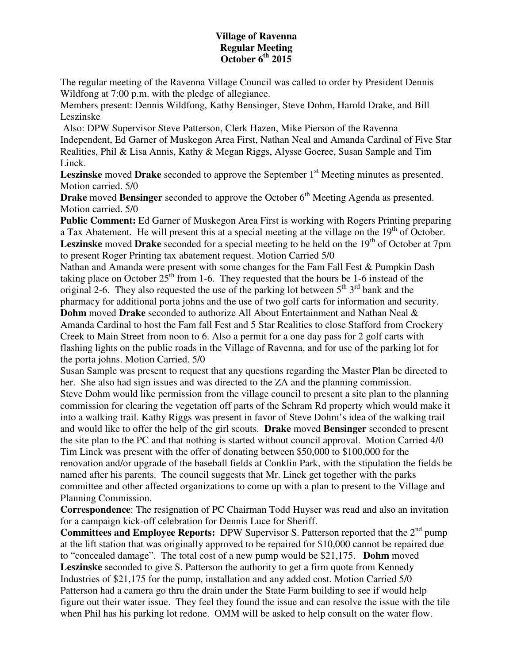## **Village of Ravenna Regular Meeting October 6th 2015**

The regular meeting of the Ravenna Village Council was called to order by President Dennis Wildfong at 7:00 p.m. with the pledge of allegiance.

Members present: Dennis Wildfong, Kathy Bensinger, Steve Dohm, Harold Drake, and Bill Leszinske

 Also: DPW Supervisor Steve Patterson, Clerk Hazen, Mike Pierson of the Ravenna Independent, Ed Garner of Muskegon Area First, Nathan Neal and Amanda Cardinal of Five Star Realities, Phil & Lisa Annis, Kathy & Megan Riggs, Alysse Goeree, Susan Sample and Tim Linck.

**Leszinske** moved **Drake** seconded to approve the September 1<sup>st</sup> Meeting minutes as presented. Motion carried. 5/0

**Drake** moved **Bensinger** seconded to approve the October 6<sup>th</sup> Meeting Agenda as presented. Motion carried. 5/0

**Public Comment:** Ed Garner of Muskegon Area First is working with Rogers Printing preparing a Tax Abatement. He will present this at a special meeting at the village on the 19<sup>th</sup> of October. Leszinske moved Drake seconded for a special meeting to be held on the 19<sup>th</sup> of October at 7pm to present Roger Printing tax abatement request. Motion Carried 5/0

Nathan and Amanda were present with some changes for the Fam Fall Fest & Pumpkin Dash taking place on October  $25^{\text{th}}$  from 1-6. They requested that the hours be 1-6 instead of the original 2-6. They also requested the use of the parking lot between  $5<sup>th</sup> 3<sup>rd</sup>$  bank and the pharmacy for additional porta johns and the use of two golf carts for information and security. **Dohm** moved **Drake** seconded to authorize All About Entertainment and Nathan Neal & Amanda Cardinal to host the Fam fall Fest and 5 Star Realities to close Stafford from Crockery Creek to Main Street from noon to 6. Also a permit for a one day pass for 2 golf carts with flashing lights on the public roads in the Village of Ravenna, and for use of the parking lot for

the porta johns. Motion Carried. 5/0

Susan Sample was present to request that any questions regarding the Master Plan be directed to her. She also had sign issues and was directed to the ZA and the planning commission.

Steve Dohm would like permission from the village council to present a site plan to the planning commission for clearing the vegetation off parts of the Schram Rd property which would make it into a walking trail. Kathy Riggs was present in favor of Steve Dohm's idea of the walking trail and would like to offer the help of the girl scouts. **Drake** moved **Bensinger** seconded to present the site plan to the PC and that nothing is started without council approval. Motion Carried 4/0 Tim Linck was present with the offer of donating between \$50,000 to \$100,000 for the renovation and/or upgrade of the baseball fields at Conklin Park, with the stipulation the fields be named after his parents. The council suggests that Mr. Linck get together with the parks committee and other affected organizations to come up with a plan to present to the Village and Planning Commission.

**Correspondence**: The resignation of PC Chairman Todd Huyser was read and also an invitation for a campaign kick-off celebration for Dennis Luce for Sheriff.

**Committees and Employee Reports:** DPW Supervisor S. Patterson reported that the 2<sup>nd</sup> pump at the lift station that was originally approved to be repaired for \$10,000 cannot be repaired due to "concealed damage". The total cost of a new pump would be \$21,175. **Dohm** moved **Leszinske** seconded to give S. Patterson the authority to get a firm quote from Kennedy Industries of \$21,175 for the pump, installation and any added cost. Motion Carried 5/0 Patterson had a camera go thru the drain under the State Farm building to see if would help figure out their water issue. They feel they found the issue and can resolve the issue with the tile when Phil has his parking lot redone. OMM will be asked to help consult on the water flow.